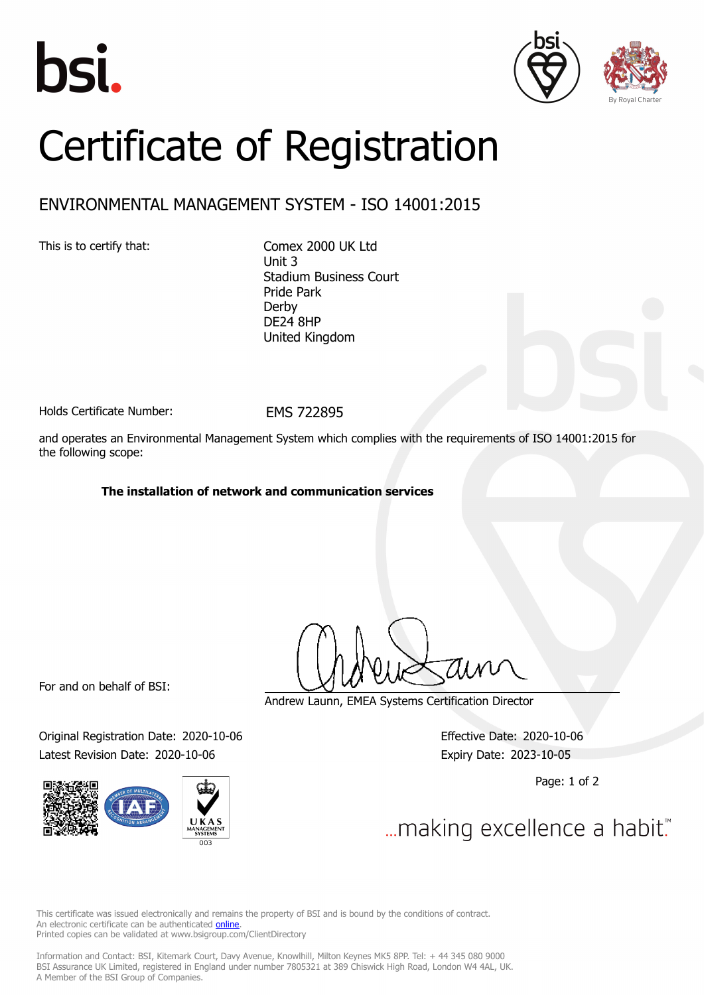





## Certificate of Registration

## ENVIRONMENTAL MANAGEMENT SYSTEM - ISO 14001:2015

This is to certify that: Comex 2000 UK Ltd Unit 3 Stadium Business Court Pride Park Derby DE24 8HP United Kingdom

Holds Certificate Number: EMS 722895

and operates an Environmental Management System which complies with the requirements of ISO 14001:2015 for the following scope:

## **The installation of network and communication services**

For and on behalf of BSI:

Original Registration Date: 2020-10-06 Effective Date: 2020-10-06 Latest Revision Date: 2020-10-06 Expiry Date: 2023-10-05



Andrew Launn, EMEA Systems Certification Director

Page: 1 of 2

... making excellence a habit."

This certificate was issued electronically and remains the property of BSI and is bound by the conditions of contract. An electronic certificate can be authenticated **[online](https://pgplus.bsigroup.com/CertificateValidation/CertificateValidator.aspx?CertificateNumber=EMS+722895&ReIssueDate=06%2f10%2f2020&Template=uk)**. Printed copies can be validated at www.bsigroup.com/ClientDirectory

Information and Contact: BSI, Kitemark Court, Davy Avenue, Knowlhill, Milton Keynes MK5 8PP. Tel: + 44 345 080 9000 BSI Assurance UK Limited, registered in England under number 7805321 at 389 Chiswick High Road, London W4 4AL, UK. A Member of the BSI Group of Companies.